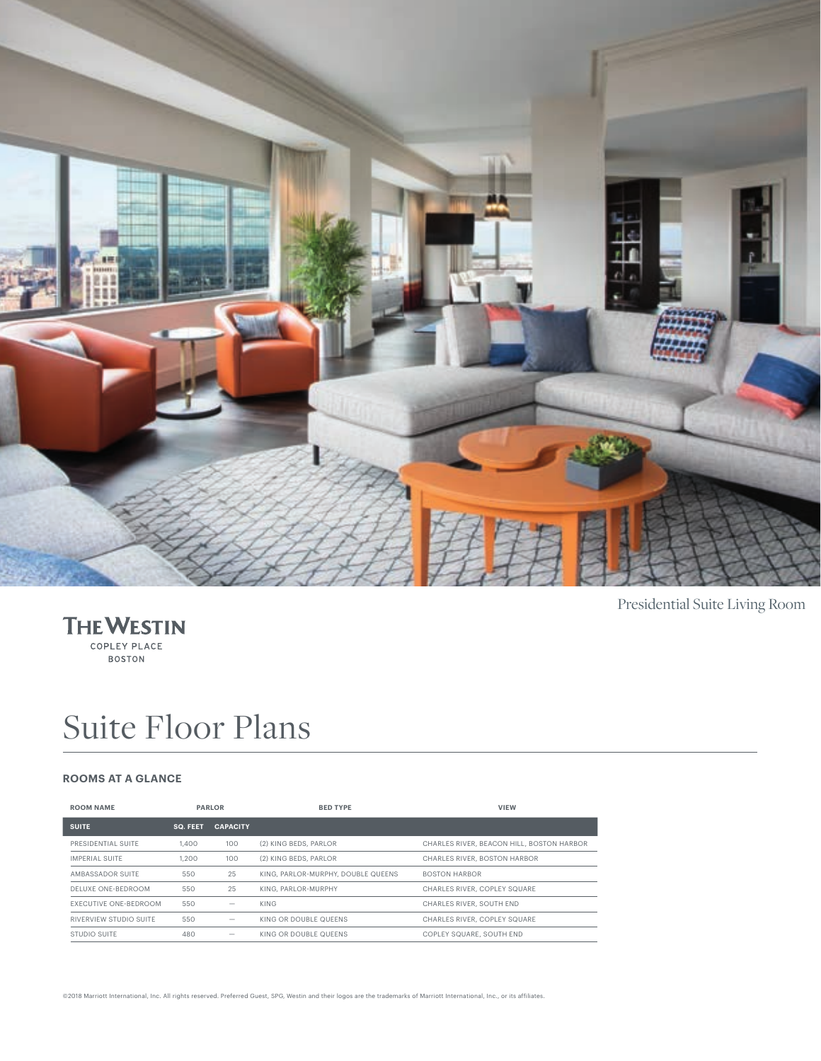



# Suite Floor Plans

#### **ROOMS AT A GLANCE**

| <b>ROOM NAME</b>             | <b>PARLOR</b>   |                          | <b>BED TYPE</b>                    | <b>VIEW</b>                               |
|------------------------------|-----------------|--------------------------|------------------------------------|-------------------------------------------|
| <b>SUITE</b>                 | <b>SQ. FEET</b> | <b>CAPACITY</b>          |                                    |                                           |
| PRESIDENTIAL SUITE           | 1,400           | 100                      | (2) KING BEDS, PARLOR              | CHARLES RIVER, BEACON HILL, BOSTON HARBOR |
| IMPERIAL SUITE               | 1.200           | 100                      | (2) KING BEDS, PARLOR              | CHARLES RIVER, BOSTON HARBOR              |
| AMBASSADOR SUITE             | 550             | 25                       | KING, PARLOR-MURPHY, DOUBLE QUEENS | <b>BOSTON HARBOR</b>                      |
| DELUXE ONE-BEDROOM           | 550             | 25                       | KING, PARLOR-MURPHY                | CHARLES RIVER, COPLEY SQUARE              |
| <b>FXECUTIVE ONE-BEDROOM</b> | 550             | $\overline{\phantom{0}}$ | KING                               | CHARLES RIVER, SOUTH END                  |
| RIVERVIEW STUDIO SUITE       | 550             |                          | KING OR DOUBLE QUEENS              | CHARLES RIVER, COPLEY SQUARE              |
| STUDIO SUITE                 | 480             | -                        | KING OR DOUBLE QUEENS              | COPLEY SQUARE, SOUTH END                  |

Presidential Suite Living Room

©2018 Marriott International, Inc. All rights reserved. Preferred Guest, SPG, Westin and their logos are the trademarks of Marriott International, Inc., or its affiliates.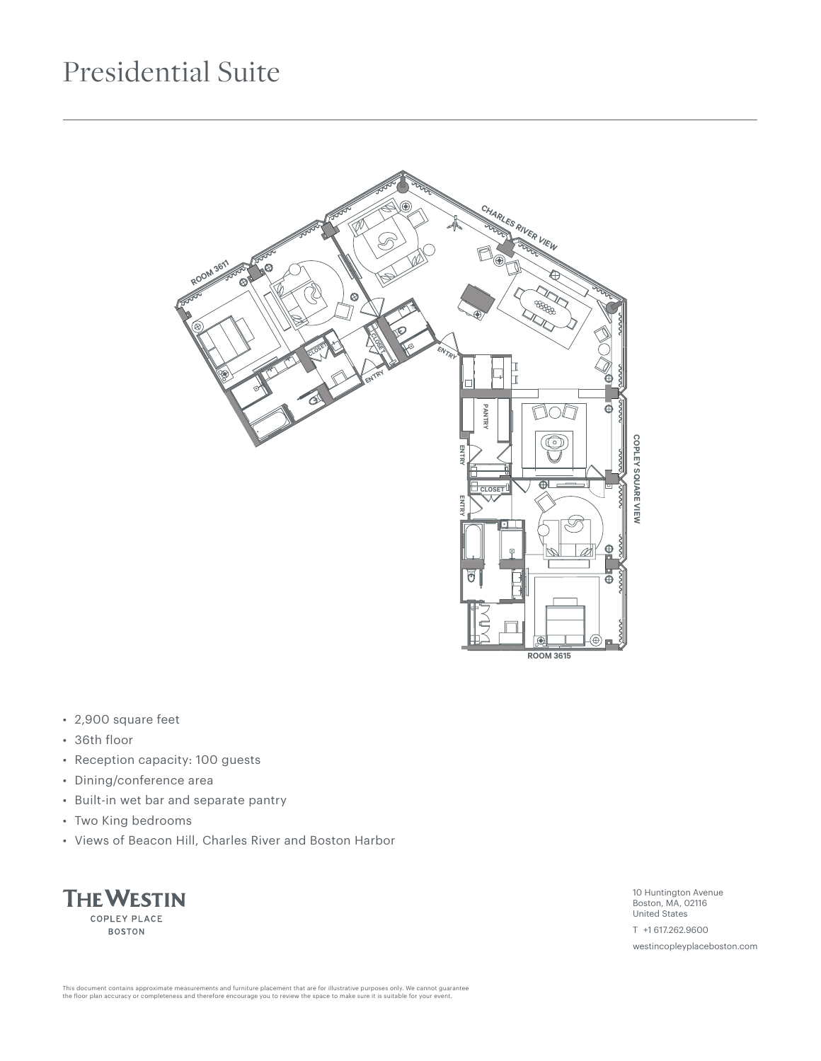### Presidential Suite



- 2,900 square feet
- 36th floor
- Reception capacity: 100 guests
- Dining/conference area
- Built-in wet bar and separate pantry
- Two King bedrooms
- Views of Beacon Hill, Charles River and Boston Harbor



10 Huntington Avenue Boston, MA, 02116 United States

T +1 617.262.9600

westincopleyplaceboston.com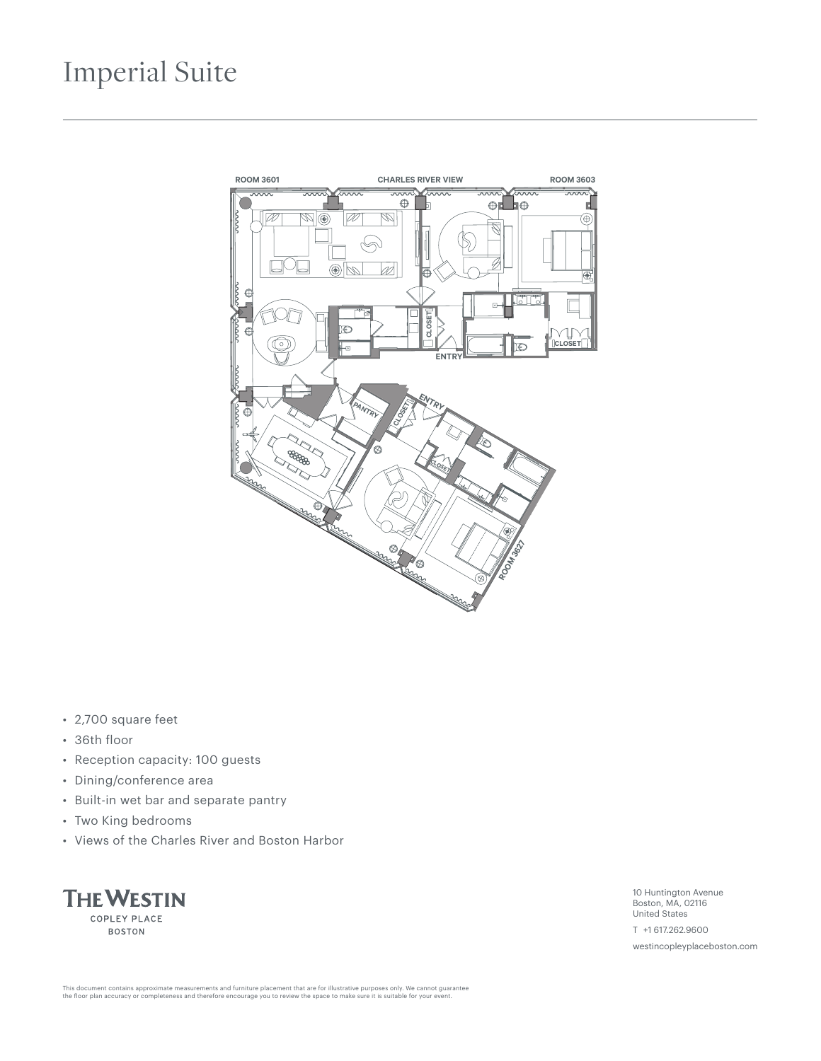#### Imperial Suite



- 2,700 square feet
- 36th floor
- Reception capacity: 100 guests
- Dining/conference area
- Built-in wet bar and separate pantry
- Two King bedrooms
- Views of the Charles River and Boston Harbor

**THE WESTIN** COPLEY PLACE **BOSTON** 

10 Huntington Avenue Boston, MA, 02116 United States

T +1 617.262.9600

westincopleyplaceboston.com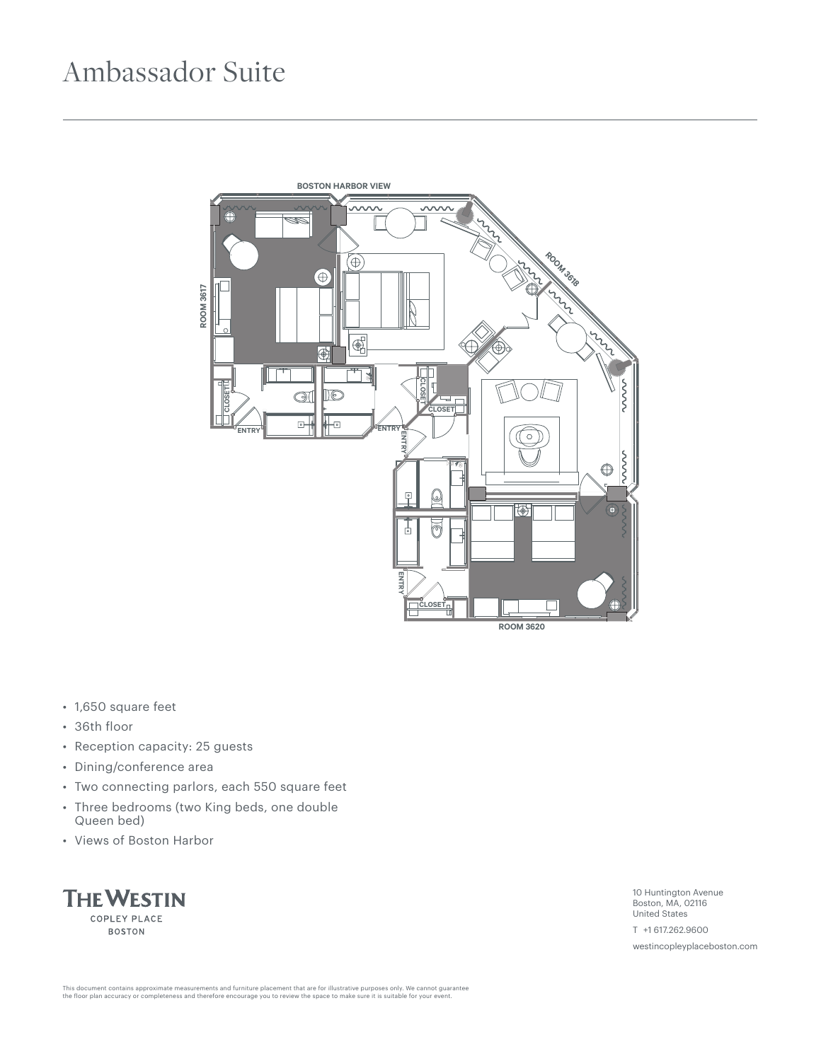### Ambassador Suite



- 1,650 square feet
- 36th floor
- Reception capacity: 25 guests
- Dining/conference area
- Two connecting parlors, each 550 square feet
- Three bedrooms (two King beds, one double Queen bed)
- Views of Boston Harbor



10 Huntington Avenue Boston, MA, 02116 United States

T +1 617.262.9600

westincopleyplaceboston.com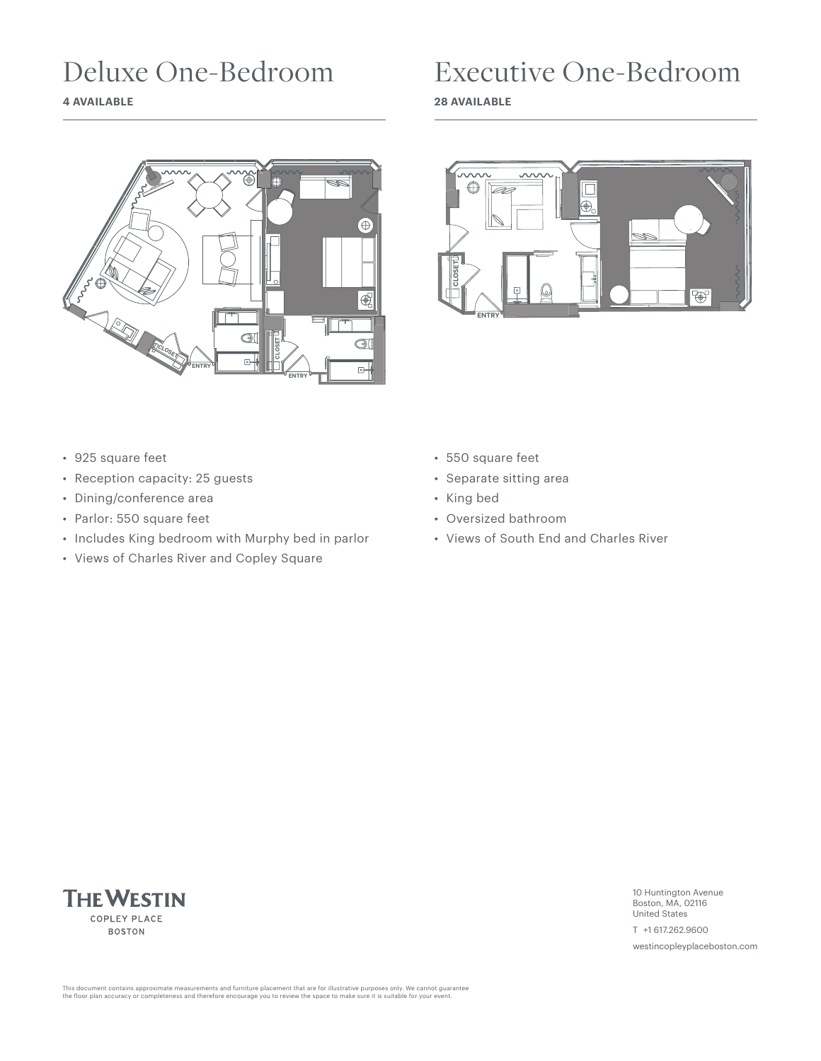## Deluxe One-Bedroom

**4 AVAILABLE**



#### Executive One-Bedroom

**28 AVAILABLE**



- 925 square feet
- Reception capacity: 25 guests
- Dining/conference area
- Parlor: 550 square feet
- Includes King bedroom with Murphy bed in parlor
- Views of Charles River and Copley Square
- 550 square feet
- Separate sitting area
- King bed
- Oversized bathroom
- Views of South End and Charles River



10 Huntington Avenue Boston, MA, 02116 United States

T +1 617.262.9600

westincopleyplaceboston.com